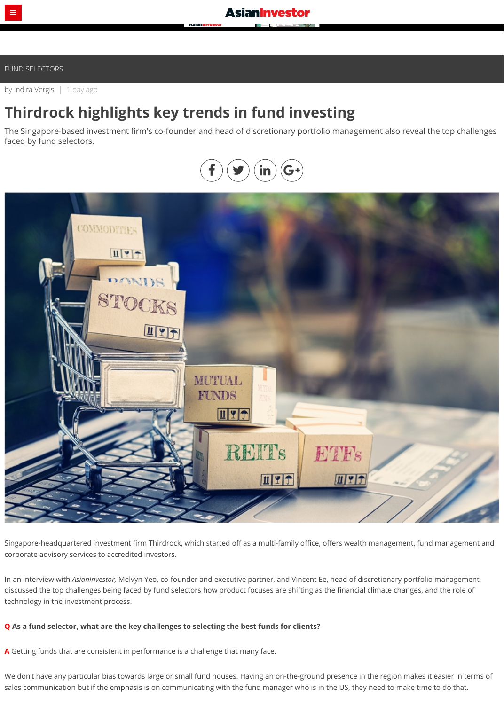## [FUND SELECTORS](https://www.asianinvestor.net/category/fund-selectors/209)

by [Indira Vergis](https://www.asianinvestor.net/author/indira-vergis/974482) | 1 day ago

# **Thirdrock highlights key trends in fund investing**

The Singapore-based investment firm's co-founder and head of discretionary portfolio management also reveal the top challenges faced by fund selectors.

Singapore-headquartered investment firm Thirdrock, which started off as a multi-family office, offers wealth management, fund management and corporate advisory services to accredited investors.

In an interview with *AsianInvestor,* Melvyn Yeo, co-founder and executive partner, and Vincent Ee, head of discretionary portfolio management, discussed the top challenges being faced by fund selectors how product focuses are shifting as the financial climate changes, and the role of technology in the investment process.

#### **Q As a fund selector, what are the key challenges to selecting the best funds for clients?**

**A** Getting funds that are consistent in performance is a challenge that many face.

We don't have any particular bias towards large or small fund houses. Having an on-the-ground presence in the region makes it easier in terms of sales communication but if the emphasis is on communicating with the fund manager who is in the US, they need to make time to do that.